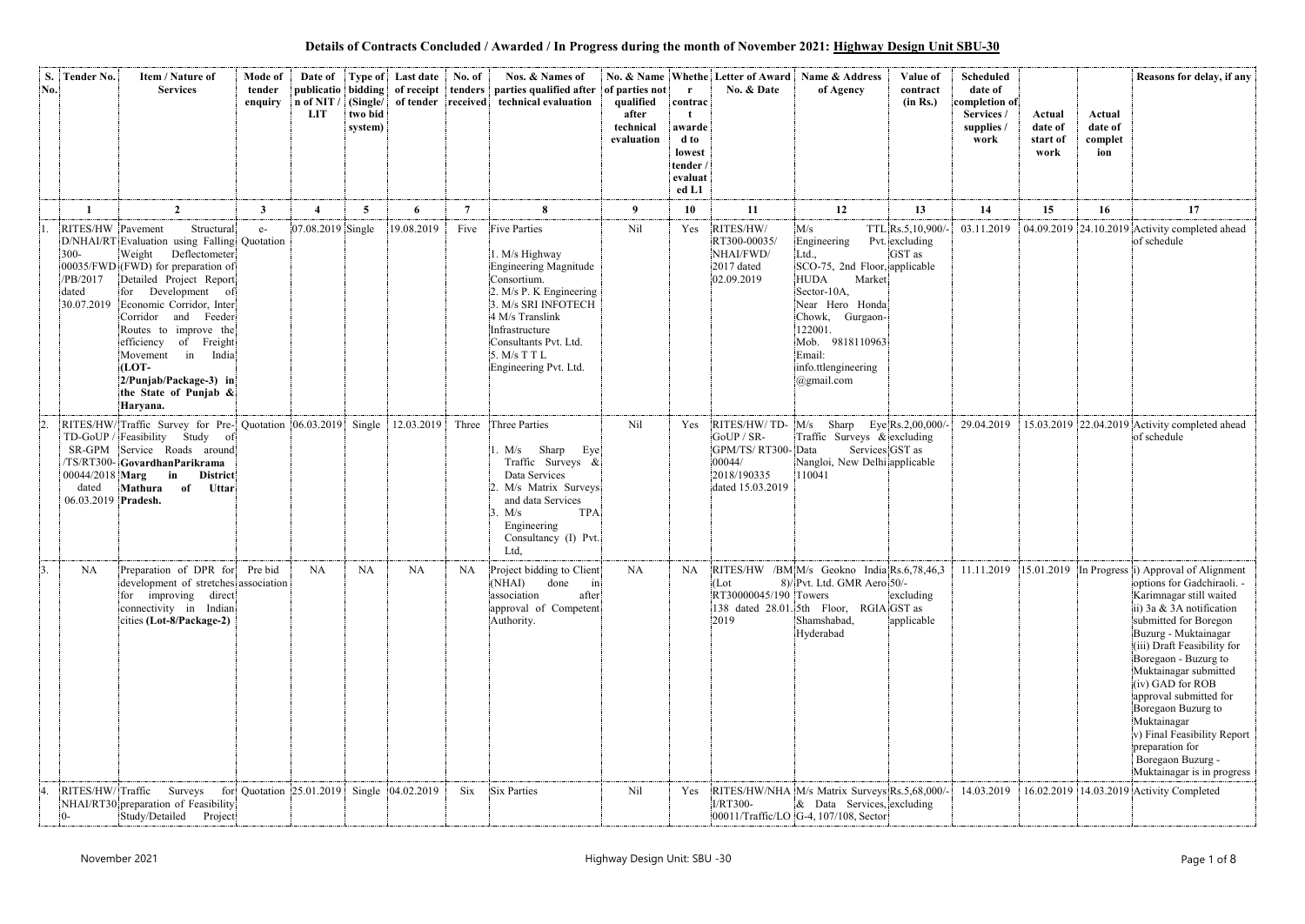**Details of Contracts Concluded / Awarded / In Progress during the month of November 2021: Highway Design Unit SBU-30**

| S.<br>No.        | Tender No.                                                      | Item / Nature of<br><b>Services</b>                                                                                                                                                                                                                                                                                                                                                                       | Mode of<br>tender<br>enquiry | Date of<br>n of NIT<br><b>LIT</b> | (Single/<br>two bid<br>system) | <b>Type of</b> Last date<br>of tender received | No. of    | Nos. & Names of<br>publicatio bidding of receipt tenders parties qualified after<br>technical evaluation                                                                                                                                      | of parties not<br>qualified<br>after<br>technical<br>evaluation | $\mathbf{r}$<br>contrac<br>awarde<br>d to<br>lowest<br>tender<br>evaluat | No. & Name Whethe Letter of Award<br>No. & Date                                              | Name & Address<br>of Agency                                                                                                                                                                                             | Value of<br>contract<br>(in Rs.)              | <b>Scheduled</b><br>date of<br>completion of<br>Services /<br>supplies /<br>work | Actual<br>date of<br>start of<br>work | Actual<br>date of<br>complet<br>ion | Reasons for delay, if any                                                                                                                                                                                                                                                                                                                                                                                                                                             |
|------------------|-----------------------------------------------------------------|-----------------------------------------------------------------------------------------------------------------------------------------------------------------------------------------------------------------------------------------------------------------------------------------------------------------------------------------------------------------------------------------------------------|------------------------------|-----------------------------------|--------------------------------|------------------------------------------------|-----------|-----------------------------------------------------------------------------------------------------------------------------------------------------------------------------------------------------------------------------------------------|-----------------------------------------------------------------|--------------------------------------------------------------------------|----------------------------------------------------------------------------------------------|-------------------------------------------------------------------------------------------------------------------------------------------------------------------------------------------------------------------------|-----------------------------------------------|----------------------------------------------------------------------------------|---------------------------------------|-------------------------------------|-----------------------------------------------------------------------------------------------------------------------------------------------------------------------------------------------------------------------------------------------------------------------------------------------------------------------------------------------------------------------------------------------------------------------------------------------------------------------|
|                  |                                                                 |                                                                                                                                                                                                                                                                                                                                                                                                           | 3                            |                                   | 5 <sup>5</sup>                 | 6                                              | 7         | 8                                                                                                                                                                                                                                             | 9                                                               | ed L1<br>10                                                              | 11                                                                                           | 12                                                                                                                                                                                                                      | 13                                            | 14                                                                               |                                       |                                     | 17                                                                                                                                                                                                                                                                                                                                                                                                                                                                    |
|                  | RITES/HW Pavement<br>$300 -$<br>/PB/2017<br>dated<br>30.07.2019 | $\overline{2}$<br>Structural<br>D/NHAI/RT Evaluation using Falling Quotation<br>Weight<br>Deflectometer<br>00035/FWD (FWD) for preparation of<br>Detailed Project Report<br>for Development of<br>Economic Corridor, Inter<br>Corridor<br>and Feeder<br>Routes to improve the<br>efficiency of Freight<br>Movement in<br>India<br>$(LOT -$<br>2/Punjab/Package-3) in<br>the State of Punjab &<br>Haryana. | $e-$                         | 07.08.2019 Single                 |                                | 19.08.2019                                     | Five      | <b>Five Parties</b><br>1. M/s Highway<br><b>Engineering Magnitude</b><br>Consortium.<br>2. M/s P. K Engineering<br>3. M/s SRI INFOTECH<br>4 M/s Translink<br>Infrastructure<br>Consultants Pvt. Ltd.<br>5. M/s T T L<br>Engineering Pvt. Ltd. | Nil                                                             | Yes                                                                      | RITES/HW/<br>RT300-00035<br>NHAI/FWD/<br>2017 dated<br>02.09.2019                            | M/s<br>Engineering<br>Ltd.,<br>SCO-75, 2nd Floor, applicable<br><b>HUDA</b><br>Market<br>Sector-10A,<br>Near Hero Honda<br>Chowk, Gurgaon-<br>122001.<br>Mob. 9818110963<br>Email:<br>info.ttlengineering<br>@gmail.com | TTL Rs.5,10,900/-<br>Pvt. excluding<br>GST as | 03.11.2019                                                                       | 15                                    | 16                                  | 04.09.2019 24.10.2019 Activity completed ahead<br>of schedule                                                                                                                                                                                                                                                                                                                                                                                                         |
|                  | SR-GPM<br>00044/2018 Marg<br>dated<br>06.03.2019 Pradesh.       | RITES/HW/Traffic Survey for Pre- Quotation 06.03.2019 Single<br>TD-GoUP / Feasibility Study<br>of<br>Service Roads around<br>/TS/RT300-GovardhanParikrama<br>in<br><b>District</b><br>Mathura of<br>Uttar                                                                                                                                                                                                 |                              |                                   |                                | 12.03.2019                                     | Three     | Three Parties<br>Sharp<br>Eye<br>1. M/s<br>Traffic Surveys &<br>Data Services<br>M/s Matrix Surveys<br>and data Services<br><b>TPA</b><br>3. M/s<br>Engineering<br>Consultancy (I) Pvt.<br>Ltd,                                               | Nil                                                             | Yes                                                                      | RITES/HW/TD-<br>GoUP / SR-<br>GPM/TS/RT300-Data<br>00044/<br>2018/190335<br>dated 15.03.2019 | Sharp<br>M/s<br>Traffic Surveys & excluding<br>Nangloi, New Delhi applicable<br>110041                                                                                                                                  | Eye Rs.2,00,000/-<br>Services GST as          | 29.04.2019                                                                       |                                       |                                     | 15.03.2019 22.04.2019 Activity completed ahead<br>of schedule                                                                                                                                                                                                                                                                                                                                                                                                         |
| $\overline{3}$ . | NA                                                              | Preparation of DPR for<br>development of stretches association<br>for improving direct<br>connectivity in Indian<br>cities (Lot-8/Package-2)                                                                                                                                                                                                                                                              | Pre bid                      | <b>NA</b>                         | <b>NA</b>                      | <b>NA</b>                                      | <b>NA</b> | Project bidding to Client<br>$\overline{\text{in}}$<br>(NHAI)<br>done<br>association<br>after<br>approval of Competent<br>Authority.                                                                                                          | <b>NA</b>                                                       | NA                                                                       | (Lot)<br>RT30000045/190 Towers<br>2019                                                       | RITES/HW /BM M/s Geokno India Rs.6,78,46,3<br>8)/Pvt. Ltd. GMR Aero 50/-<br>138 dated 28.01. 5th Floor, RGIA GST as<br>Shamshabad,<br>Hyderabad                                                                         | excluding<br>applicable                       | 11.11.2019                                                                       |                                       |                                     | $\vert$ 15.01.2019 In Progress i) Approval of Alignment<br>options for Gadchiraoli. -<br>Karimnagar still waited<br>ii) 3a & 3A notification<br>submitted for Boregon<br>Buzurg - Muktainagar<br>(iii) Draft Feasibility for<br>Boregaon - Buzurg to<br>Muktainagar submitted<br>(iv) GAD for ROB<br>approval submitted for<br>Boregaon Buzurg to<br>Muktainagar<br>v) Final Feasibility Report<br>preparation for<br>Boregaon Buzurg -<br>Muktainagar is in progress |
|                  | RITES/HW/Traffic                                                | Surveys for Quotation 25.01.2019<br>NHAI/RT30 preparation of Feasibility<br>Project<br>Study/Detailed                                                                                                                                                                                                                                                                                                     |                              |                                   |                                | Single 04.02.2019                              | Six       | <b>Six Parties</b>                                                                                                                                                                                                                            | Nil                                                             | Yes                                                                      | I/RT300-                                                                                     | RITES/HW/NHA M/s Matrix Surveys Rs.5,68,000/-<br>$\&$ Data Services, excluding<br>00011/Traffic/LO G-4, 107/108, Sector                                                                                                 |                                               | 14.03.2019                                                                       |                                       |                                     | 16.02.2019 14.03.2019 Activity Completed                                                                                                                                                                                                                                                                                                                                                                                                                              |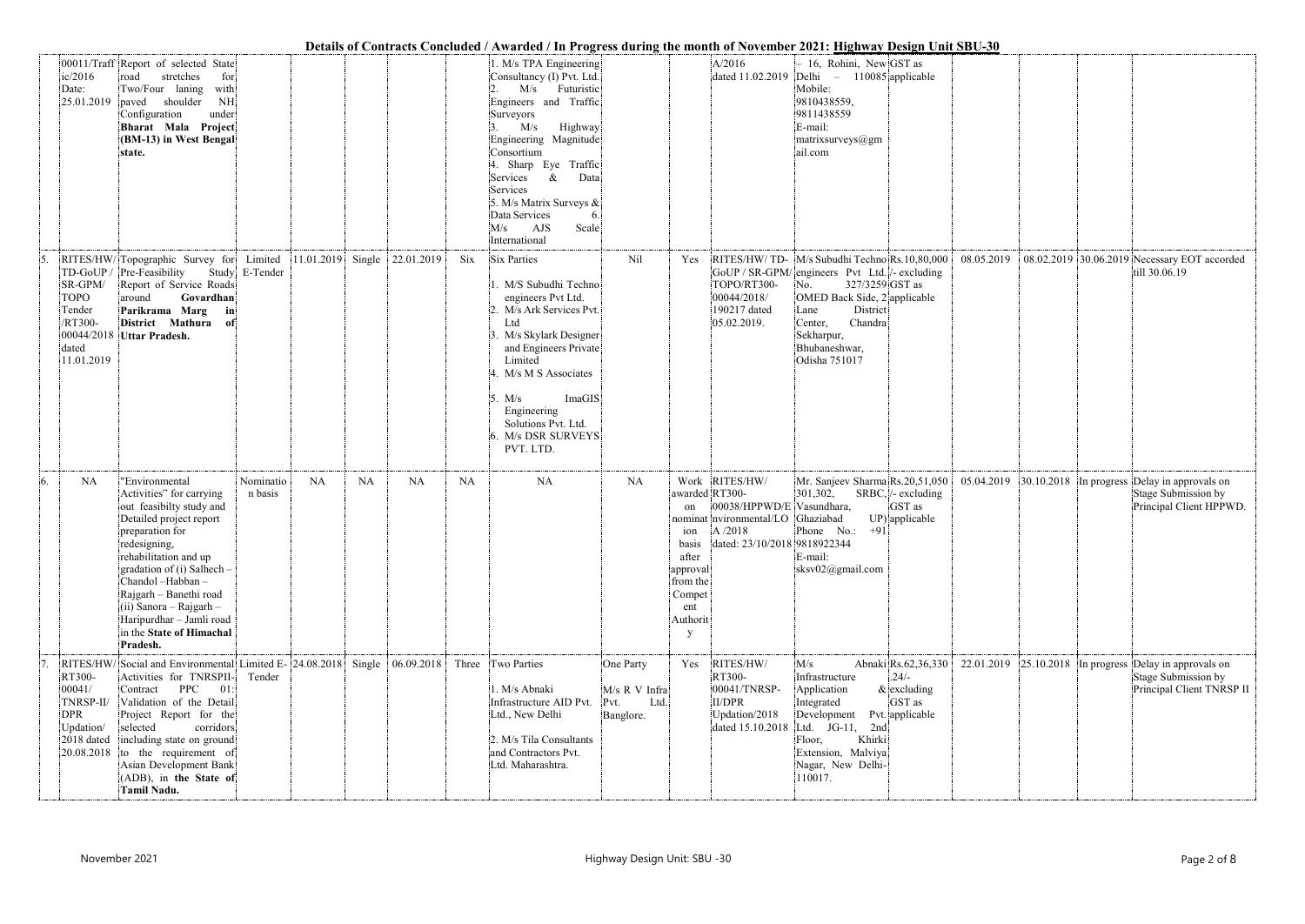|    |                                                                               |                                                                                                                                                                                                                                                                                                                                            |                           |           |           |                                  |           | Details of Contracts Concluded / Awarded / In Progress during the month of November 2021: Highway Design Unit SBU-30                                                                                                                                                                                                           |                                                         |                                                                                                  |                                                                                                                                                         |                                                                                                                                                                                                                                                    |                                                           |            |  |                                                                                                               |
|----|-------------------------------------------------------------------------------|--------------------------------------------------------------------------------------------------------------------------------------------------------------------------------------------------------------------------------------------------------------------------------------------------------------------------------------------|---------------------------|-----------|-----------|----------------------------------|-----------|--------------------------------------------------------------------------------------------------------------------------------------------------------------------------------------------------------------------------------------------------------------------------------------------------------------------------------|---------------------------------------------------------|--------------------------------------------------------------------------------------------------|---------------------------------------------------------------------------------------------------------------------------------------------------------|----------------------------------------------------------------------------------------------------------------------------------------------------------------------------------------------------------------------------------------------------|-----------------------------------------------------------|------------|--|---------------------------------------------------------------------------------------------------------------|
|    | ic/2016<br>Date:<br>25.01.2019   paved                                        | 00011/Traff Report of selected State<br>stretches<br>for<br>road<br>Two/Four laning<br>with<br>shoulder<br>NH<br>under<br>Configuration<br>Bharat Mala Project<br>(BM-13) in West Bengal<br>state.                                                                                                                                         |                           |           |           |                                  |           | 1. M/s TPA Engineering<br>Consultancy (I) Pvt. Ltd.<br>M/s<br>Futuristic<br>Engineers and Traffic<br>Surveyors<br>M/s<br>Highway<br>Engineering Magnitude<br>Consortium<br>4. Sharp Eye Traffic<br>Services<br>Data<br>&<br>Services<br>5. M/s Matrix Surveys &<br>Data Services<br>6.<br>AJS<br>Scale<br>M/s<br>International |                                                         |                                                                                                  | A/2016<br>dated 11.02.2019                                                                                                                              | - 16, Rohini, New GST as<br>$ Delhi - 110085 $ applicable<br>Mobile:<br>9810438559,<br>9811438559<br>E-mail:<br>matrixsurveys@gm<br>ail.com                                                                                                        |                                                           |            |  |                                                                                                               |
| 5. | TD-GoUP<br>SR-GPM/<br><b>TOPO</b><br>Tender<br>/RT300-<br>dated<br>11.01.2019 | RITES/HW/Topographic Survey for<br>Pre-Feasibility<br>Report of Service Roads<br>around<br>Govardhan<br>Parikrama Marg<br>$\mid$ in<br>District Mathura of<br>00044/2018 Uttar Pradesh.                                                                                                                                                    | Limited<br>Study E-Tender |           |           | $ 11.01.2019 $ Single 22.01.2019 | Six       | Six Parties<br>1. M/S Subudhi Techno<br>engineers Pvt Ltd.<br>2. M/s Ark Services Pvt.<br>Ltd<br>3. M/s Skylark Designer<br>and Engineers Private<br>Limited<br>4. M/s M S Associates<br>ImaGIS<br>5. $M/s$<br>Engineering<br>Solutions Pvt. Ltd.<br>6. M/s DSR SURVEYS<br>PVT. LTD.                                           | Nil                                                     | Yes                                                                                              | TOPO/RT300-<br>00044/2018/<br>190217 dated<br>05.02.2019.                                                                                               | RITES/HW/TD- M/s Subudhi Techno Rs.10,80,000<br>GoUP / SR-GPM/ engineers Pvt Ltd. /- excluding<br>327/3259 GST as<br>No.<br>OMED Back Side, 2 applicable<br>District<br>Lane<br>Chandra<br>Center,<br>Sekharpur,<br>Bhubaneshwar,<br>Odisha 751017 |                                                           | 08.05.2019 |  | 08.02.2019 30.06.2019 Necessary EOT accorded<br>till 30.06.19                                                 |
| 6. | <b>NA</b>                                                                     | "Environmental<br>Activities" for carrying<br>out feasibilty study and<br>Detailed project report<br>preparation for<br>redesigning,<br>rehabilitation and up<br>gradation of (i) Salhech -<br>Chandol-Habban-<br>Rajgarh - Banethi road<br>$(ii)$ Sanora – Rajgarh –<br>Haripurdhar - Jamli road<br>in the State of Himachal<br>Pradesh.  | Nominatio<br>n basis      | <b>NA</b> | <b>NA</b> | <b>NA</b>                        | <b>NA</b> | <b>NA</b>                                                                                                                                                                                                                                                                                                                      | <b>NA</b>                                               | awarded RT300-<br>on<br>basis<br>after<br>approval<br>from the<br>Compet<br>ent<br>Authorit<br>y | Work RITES/HW/<br>00038/HPPWD/E Vasundhara,<br>nominat nvironmental/LO Ghaziabad<br>ion $\left  \frac{A}{2018} \right $<br>dated: 23/10/2018 9818922344 | Mr. Sanjeev Sharma Rs.20,51,050<br>301,302,<br>Phone $No.: +91$<br>E-mail:<br>sksv02@gmail.com                                                                                                                                                     | $SRBC$ , /- excluding<br>GST as<br>UP) applicable         |            |  | $05.04.2019$ 30.10.2018 In progress Delay in approvals on<br>Stage Submission by<br>Principal Client HPPWD.   |
|    | RT300-<br>00041/<br>TNRSP-II/<br><b>DPR</b><br>Updation/<br>2018 dated        | RITES/HW/Social and Environmental Limited E- 24.08.2018 Single<br>Activities for TNRSPII-<br>PPC<br>01:<br>Contract<br>Validation of the Detail<br>Project Report for the<br>selected<br>corridors<br>including state on ground<br>$ 20.08.2018 $ to the requirement of<br>Asian Development Bank<br>(ADB), in the State of<br>Tamil Nadu. | Tender                    |           |           | 06.09.2018                       |           | Three Two Parties<br>1. M/s Abnaki<br>Infrastructure AID Pvt.<br>Ltd., New Delhi<br>2. M/s Tila Consultants<br>and Contractors Pvt.<br>Ltd. Maharashtra.                                                                                                                                                                       | One Party<br>M/s R V Infra<br>Pvt.<br>Ltd.<br>Banglore. | Yes                                                                                              | RITES/HW/<br>RT300-<br>00041/TNRSP-<br>II/DPR<br>Updation/2018<br>dated 15.10.2018                                                                      | M/s<br>Infrastructure<br>Application<br>Integrated<br>Development Pvt. applicable<br>Ltd. JG-11, 2nd<br>Khirki<br>Floor,<br>Extension, Malviya<br>Nagar, New Delhi-<br>110017.                                                                     | Abnaki Rs.62,36,330<br>$.24/-$<br>$&$ excluding<br>GST as |            |  | $22.01.2019$ 25.10.2018 In progress Delay in approvals on<br>Stage Submission by<br>Principal Client TNRSP II |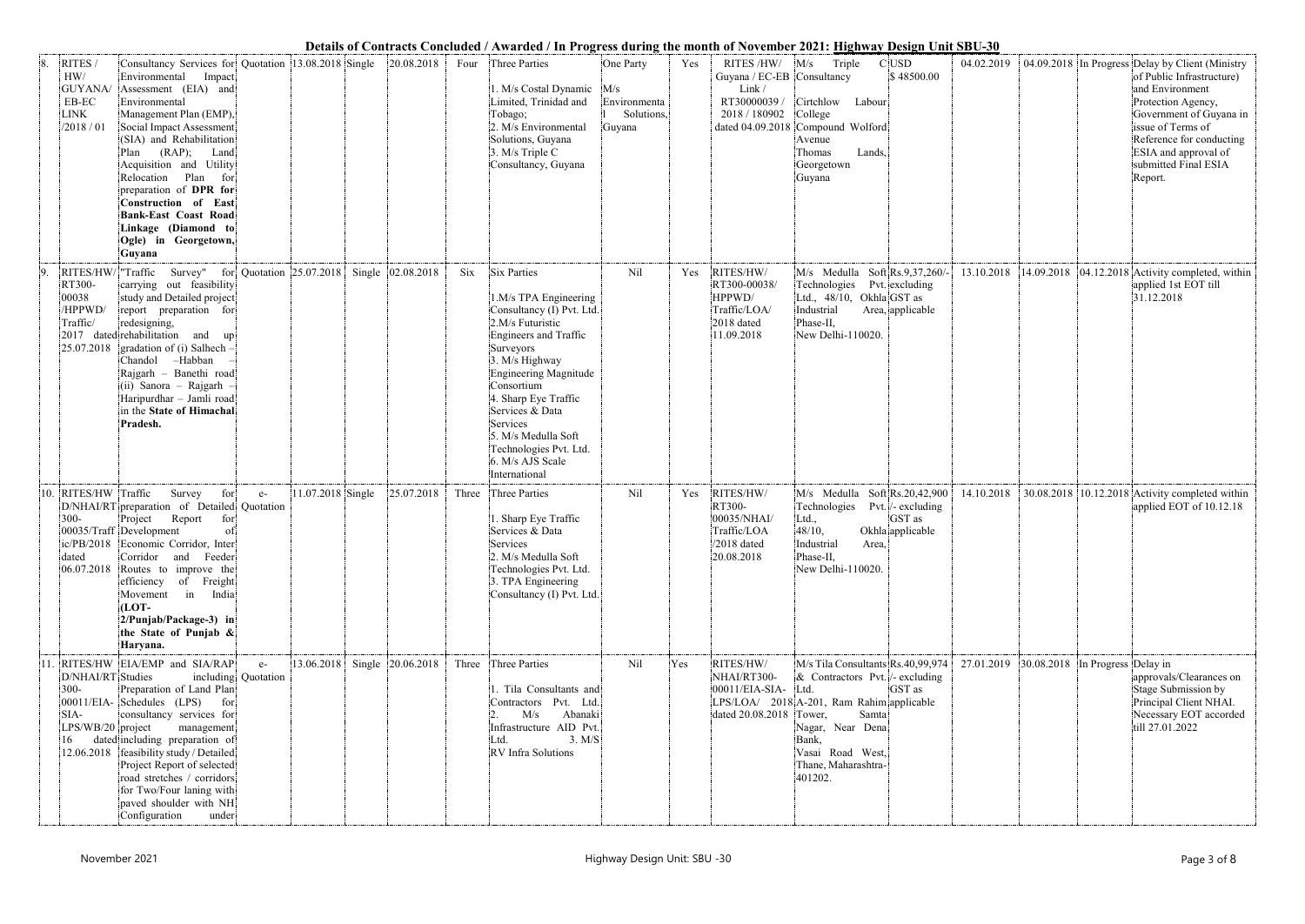| Details of Contracts Concluded / Awarded / In Progress during the month of November 2021: Highway Design Unit SBU-30 |  |  |
|----------------------------------------------------------------------------------------------------------------------|--|--|
|                                                                                                                      |  |  |

|     |                                                                |                                                                                                                                                                                                                                                                                                                                                                                                                   |                     |                              |       | Details of Contracts Concluded / Awarded / In Frogress during the month of November 2021; <u>Highway Design Unit SB</u> U-30                                                                                                                                                                                                                    |                                                          |     |                                                                                                        |                                                                                                                                                                                                                                    |                                                 |            |                                     |                                                                                                                                                                                                                                                               |
|-----|----------------------------------------------------------------|-------------------------------------------------------------------------------------------------------------------------------------------------------------------------------------------------------------------------------------------------------------------------------------------------------------------------------------------------------------------------------------------------------------------|---------------------|------------------------------|-------|-------------------------------------------------------------------------------------------------------------------------------------------------------------------------------------------------------------------------------------------------------------------------------------------------------------------------------------------------|----------------------------------------------------------|-----|--------------------------------------------------------------------------------------------------------|------------------------------------------------------------------------------------------------------------------------------------------------------------------------------------------------------------------------------------|-------------------------------------------------|------------|-------------------------------------|---------------------------------------------------------------------------------------------------------------------------------------------------------------------------------------------------------------------------------------------------------------|
| 8.  | RITES/<br>HW/<br>GUYANA/<br>EB-EC<br><b>LINK</b><br>/2018 / 01 | Consultancy Services for Quotation<br>Environmental<br>Impact<br>Assessment (EIA) and<br>Environmental<br>Management Plan (EMP),<br>Social Impact Assessment<br>(SIA) and Rehabilitation<br>(RAP);<br>Land<br>Plan<br>Acquisition and Utility<br>Relocation Plan<br>for<br>preparation of DPR for<br>Construction of East<br><b>Bank-East Coast Road</b><br>Linkage (Diamond to<br>Ogle) in Georgetown,<br>Guyana | 13.08.2018 Single   | 20.08.2018                   | Four  | Three Parties<br>1. M/s Costal Dynamic<br>Limited, Trinidad and<br>Tobago;<br>2. M/s Environmental<br>Solutions, Guyana<br>3. M/s Triple C<br>Consultancy, Guyana                                                                                                                                                                               | One Party<br>M/s<br>Environmenta<br>Solutions,<br>Guyana | Yes | RITES/HW/<br>Guyana / EC-EB Consultancy<br>Link /<br>RT30000039 /<br>2018 / 180902<br>dated 04.09.2018 | M/s<br>Triple<br>Cirtchlow Labour<br>College<br>Compound Wolford<br>Avenue<br>Lands,<br>Thomas<br>Georgetown<br>Guyana                                                                                                             | $C$ USD<br>\$48500.00                           | 04.02.2019 |                                     | 04.09.2018 In Progress Delay by Client (Ministry<br>of Public Infrastructure)<br>and Environment<br>Protection Agency,<br>Government of Guyana in<br>issue of Terms of<br>Reference for conducting<br>ESIA and approval of<br>submitted Final ESIA<br>Report. |
|     | RT300-<br>00038<br>/HPPWD/<br>Traffic/<br>25.07.2018           | RITES/HW/ Traffic Survey" for Quotation 25.07.2018<br>carrying out feasibility<br>study and Detailed project<br>report preparation for<br>redesigning,<br>2017 dated rehabilitation and up<br>$\vert$ gradation of (i) Salhech -<br>Chandol -Habban<br>Rajgarh - Banethi road<br>$(iii)$ Sanora – Rajgarh<br>Haripurdhar - Jamli road<br>in the State of Himachal<br>Pradesh.                                     |                     | Single 02.08.2018            | Six   | Six Parties<br>1.M/s TPA Engineering<br>Consultancy (I) Pvt. Ltd.<br>2.M/s Futuristic<br><b>Engineers and Traffic</b><br>Surveyors<br>3. M/s Highway<br><b>Engineering Magnitude</b><br>Consortium<br>4. Sharp Eye Traffic<br>Services & Data<br>Services<br>5. M/s Medulla Soft<br>Technologies Pvt. Ltd.<br>6. M/s AJS Scale<br>International | Nil                                                      | Yes | RITES/HW/<br>RT300-00038/<br>HPPWD/<br>Traffic/LOA/<br>2018 dated<br>11.09.2018                        | M/s Medulla Soft Rs.9,37,260/-<br>Technologies Pvt. excluding<br>Ltd., 48/10, Okhla GST as<br>Industrial<br>Phase-II,<br>New Delhi-110020.                                                                                         | Area, applicable                                | 13.10.2018 |                                     | $ 14.09.2018 $ 04.12.2018 Activity completed, within<br>applied 1st EOT till<br>31.12.2018                                                                                                                                                                    |
|     | 10. RITES/HW Traffic<br>$300 -$<br>dated                       | Survey<br>for<br>$e-$<br>D/NHAI/RT preparation of Detailed Quotation<br>Project<br>Report<br>for<br>00035/Traff Development<br>of.<br>ic/PB/2018 Economic Corridor, Inter<br>Corridor<br>and Feeder<br>$[06.07.2018]$ Routes to improve the<br>efficiency of Freight<br>Movement in India<br>$[LOT-$<br>2/Punjab/Package-3) in<br>the State of Punjab &<br>Haryana.                                               | $11.07.2018$ Single | 25.07.2018                   | Three | Three Parties<br>1. Sharp Eye Traffic<br>Services & Data<br>Services<br>2. M/s Medulla Soft<br>Technologies Pvt. Ltd.<br>3. TPA Engineering<br>Consultancy (I) Pvt. Ltd.                                                                                                                                                                        | Nil                                                      | Yes | RITES/HW/<br>RT300-<br>00035/NHAI/<br>Traffic/LOA<br>$/2018$ dated<br>20.08.2018                       | M/s Medulla Soft Rs.20,42,900<br>Technologies<br>Ltd.,<br>48/10,<br>Industrial<br>Area,<br>Phase-II,<br>New Delhi-110020.                                                                                                          | Pvt. /- excluding<br>GST as<br>Okhla applicable | 14.10.2018 |                                     | 30.08.2018 10.12.2018 Activity completed within<br>applied EOT of 10.12.18                                                                                                                                                                                    |
| 11. | D/NHAI/RT Studies<br>$300 -$<br>SIA-<br>$LPS/WB/20$ project    | RITES/HW EIA/EMP and SIA/RAP<br>$e-$<br>including Quotation<br>Preparation of Land Plan<br>$[00011/EIA-$ Schedules (LPS) for<br>consultancy services for<br>management<br>dated including preparation of<br>12.06.2018 feasibility study / Detailed<br>Project Report of selected<br>road stretches / corridors<br>for Two/Four laning with<br>paved shoulder with NH<br>Configuration<br>under                   |                     | 13.06.2018 Single 20.06.2018 |       | Three Three Parties<br>1. Tila Consultants and<br>Contractors Pvt. Ltd.<br>Abanaki<br>M/s<br>Infrastructure AID Pvt.<br>3. M/S<br>Ltd.<br>RV Infra Solutions                                                                                                                                                                                    | Nil                                                      | Yes | RITES/HW/<br>NHAI/RT300-<br>00011/EIA-SIA-<br>dated 20.08.2018                                         | M/s Tila Consultants Rs.40,99,974<br>& Contractors Pvt. $/$ - excluding<br>Ltd.<br>LPS/LOA/ 2018 A-201, Ram Rahim applicable<br>Tower,<br>Samta<br>Nagar, Near Dena<br>Bank,<br>Vasai Road West,<br>Thane, Maharashtra-<br>401202. | GST as                                          | 27.01.2019 | $ 30.08.2018 $ In Progress Delay in | approvals/Clearances on<br>Stage Submission by<br>Principal Client NHAI.<br>Necessary EOT accorded<br>till 27.01.2022                                                                                                                                         |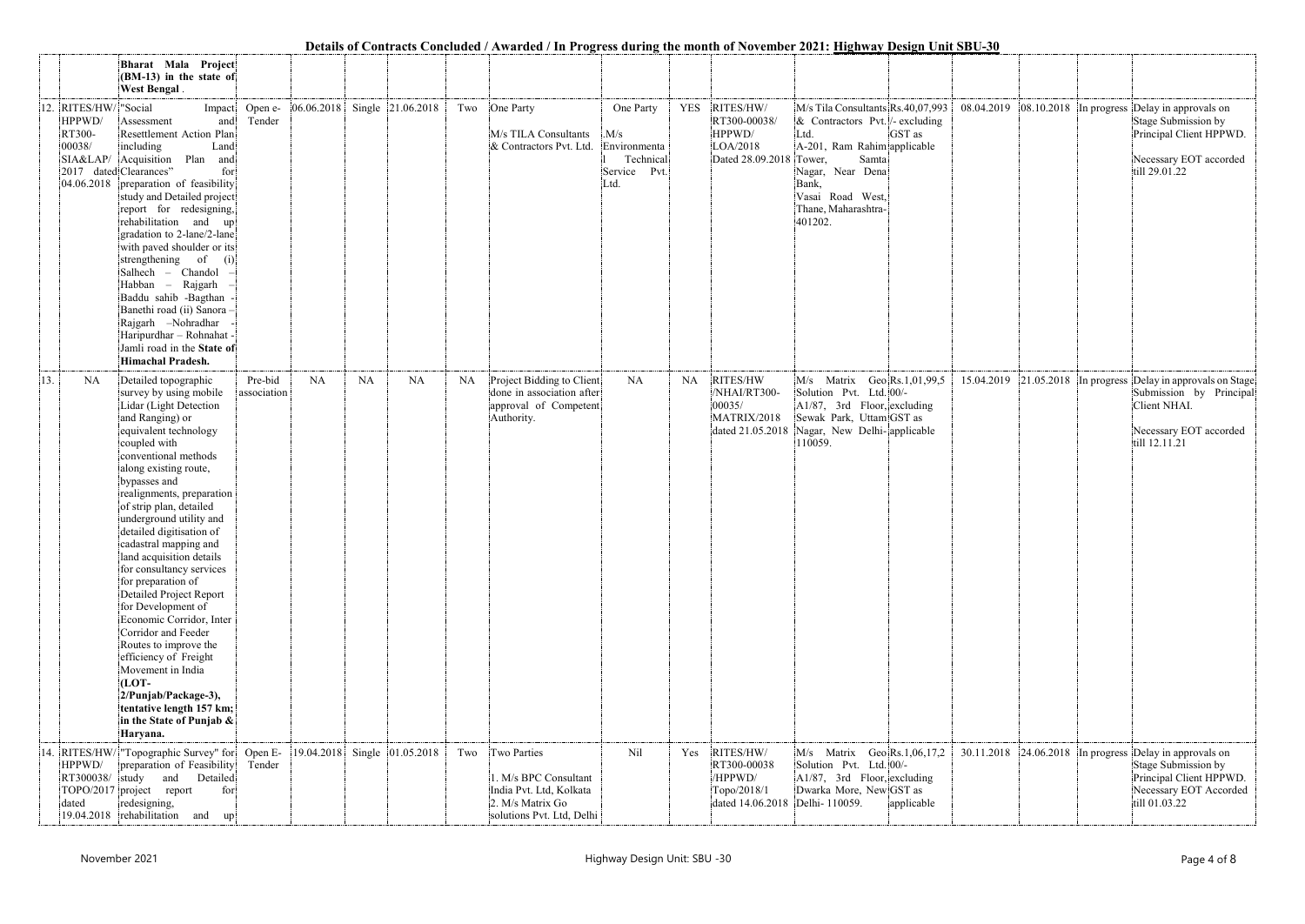|     |                                                                               |                                                                                                                                                                                                                                                                                                                                                                                                                                                                                                                                                                                                                                                                                                               |                        |                   |           |                                  |     | Details of Contracts Concluded / Awarded / In Progress during the month of November 2021: Highway Design Unit SBU-30 |                                                                       |     |                                                                                       |                                                                                                                                                                                                                                 |            |            |  |                                                                                                                                                        |
|-----|-------------------------------------------------------------------------------|---------------------------------------------------------------------------------------------------------------------------------------------------------------------------------------------------------------------------------------------------------------------------------------------------------------------------------------------------------------------------------------------------------------------------------------------------------------------------------------------------------------------------------------------------------------------------------------------------------------------------------------------------------------------------------------------------------------|------------------------|-------------------|-----------|----------------------------------|-----|----------------------------------------------------------------------------------------------------------------------|-----------------------------------------------------------------------|-----|---------------------------------------------------------------------------------------|---------------------------------------------------------------------------------------------------------------------------------------------------------------------------------------------------------------------------------|------------|------------|--|--------------------------------------------------------------------------------------------------------------------------------------------------------|
|     |                                                                               | Bharat Mala Project<br>(BM-13) in the state of<br>West Bengal.                                                                                                                                                                                                                                                                                                                                                                                                                                                                                                                                                                                                                                                |                        |                   |           |                                  |     |                                                                                                                      |                                                                       |     |                                                                                       |                                                                                                                                                                                                                                 |            |            |  |                                                                                                                                                        |
|     | 12. RITES/HW/ "Social<br>HPPWD/<br>RT300-<br>00038/<br>2017 dated Clearances" | Impact<br>Assessment<br>and<br>Resettlement Action Plan<br>including<br>Land<br>SIA&LAP/ Acquisition Plan and<br>for<br>04.06.2018 preparation of feasibility<br>study and Detailed project<br>report for redesigning,<br>rehabilitation and up<br>gradation to 2-lane/2-lane<br>with paved shoulder or its<br>strengthening of<br>(i)<br>Salhech - Chandol<br>Habban – Rajgarh<br>Baddu sahib -Bagthan<br>Banethi road (ii) Sanora -<br>Rajgarh -Nohradhar<br>Haripurdhar - Rohnahat -<br>Jamli road in the State of<br><b>Himachal Pradesh.</b>                                                                                                                                                             | Open e-<br>Tender      |                   |           | $ 06.06.2018 $ Single 21.06.2018 |     | Two One Party<br>M/s TILA Consultants<br>& Contractors Pvt. Ltd.                                                     | One Party<br>M/s<br>Environmenta<br>Technical<br>Service Pvt.<br>Ltd. |     | YES RITES/HW/<br>RT300-00038/<br>HPPWD/<br>LOA/2018<br>Dated 28.09.2018               | M/s Tila Consultants Rs.40,07,993<br>$\&$ Contractors Pvt. $\frac{1}{2}$ excluding<br>Ltd.<br>A-201, Ram Rahim applicable<br>Tower,<br>Samta<br>Nagar, Near Dena<br>Bank,<br>Vasai Road West,<br>Thane, Maharashtra-<br>401202. | GST as     | 08.04.2019 |  | 08.10.2018 In progress Delay in approvals on<br>Stage Submission by<br>Principal Client HPPWD.<br>Necessary EOT accorded<br>till 29.01.22              |
| 13. | <b>NA</b>                                                                     | Detailed topographic<br>survey by using mobile<br>Lidar (Light Detection<br>and Ranging) or<br>equivalent technology<br>coupled with<br>conventional methods<br>along existing route,<br>bypasses and<br>realignments, preparation<br>of strip plan, detailed<br>underground utility and<br>detailed digitisation of<br>cadastral mapping and<br>land acquisition details<br>for consultancy services<br>for preparation of<br>Detailed Project Report<br>for Development of<br>Economic Corridor, Inter<br>Corridor and Feeder<br>Routes to improve the<br>efficiency of Freight<br>Movement in India<br>$[LOT-$<br>2/Punjab/Package-3),<br>tentative length 157 km;<br>in the State of Punjab &<br>Haryana. | Pre-bid<br>association | NA                | <b>NA</b> | <b>NA</b>                        | NA  | Project Bidding to Client<br>done in association after<br>approval of Competent<br>Authority.                        | NA                                                                    | NA  | RITES/HW<br>/NHAI/RT300-<br>00035/<br>MATRIX/2018<br>dated 21.05.2018                 | $M/s$ Matrix Geo Rs.1,01,99,5<br>Solution Pvt. Ltd. 00/-<br>A1/87, 3rd Floor, excluding<br>Sewak Park, Uttam GST as<br>Nagar, New Delhi-applicable<br>110059.                                                                   |            |            |  | 15.04.2019 21.05.2018 In progress Delay in approvals on Stage<br>Submission by Principal<br>Client NHAI.<br>Necessary EOT accorded<br>till 12.11.21    |
|     | HPPWD/<br>RT300038/<br>dated                                                  | 14. RITES/HW/ "Topographic Survey" for<br>preparation of Feasibility<br>study<br>and Detailed<br>TOPO/2017 project report<br>for<br>redesigning,<br>19.04.2018 rehabilitation and<br>$\lvert \text{up} \rvert$                                                                                                                                                                                                                                                                                                                                                                                                                                                                                                | Open E-<br>Tender      | 19.04.2018 Single |           | 01.05.2018                       | Two | Two Parties<br>1. M/s BPC Consultant<br>India Pvt. Ltd, Kolkata<br>2. M/s Matrix Go<br>solutions Pvt. Ltd, Delhi     | Nil                                                                   | Yes | RITES/HW/<br>RT300-00038<br>/HPPWD/<br>Topo/2018/1<br>dated 14.06.2018 Delhi- 110059. | $M/s$ Matrix Geo Rs.1,06,17,2<br>Solution Pvt. Ltd. 00/-<br>A1/87, 3rd Floor, excluding<br>Dwarka More, New GST as                                                                                                              | applicable |            |  | $30.11.2018$ 24.06.2018 In progress Delay in approvals on<br>Stage Submission by<br>Principal Client HPPWD.<br>Necessary EOT Accorded<br>till 01.03.22 |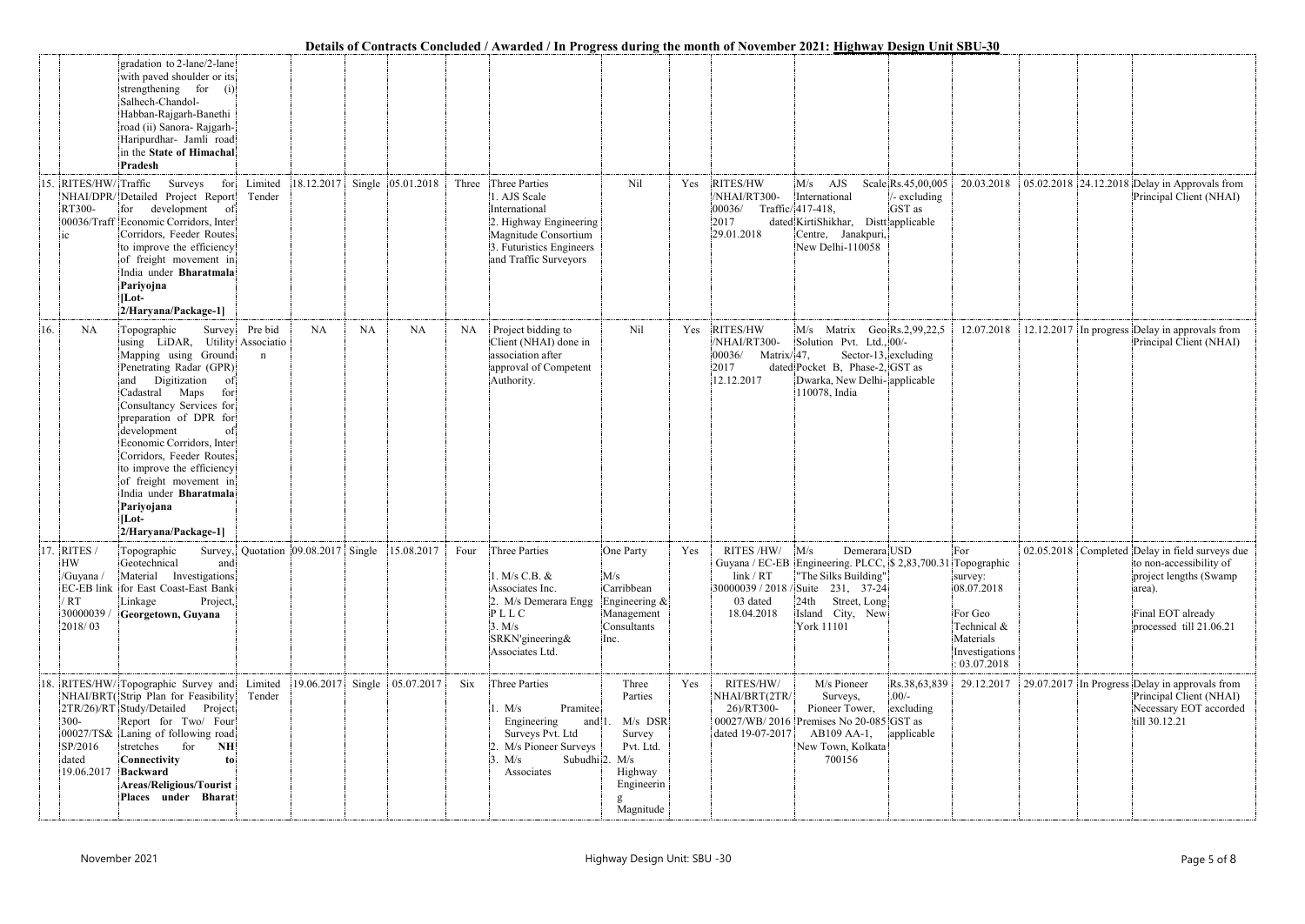|                                                                        |                                                                                                                                                                                                                                                                                                                                                                                                                                             |                                     |            |           |                              |           |                                                                                                                                                       |                                                                                                                     |     |                                                                        | Details of Contracts Concluded / Awarded / In Progress during the month of November 2021: Highway Design Unit SBU-30                                                                     |                                                                                                                      |                                                                                                                                                                |
|------------------------------------------------------------------------|---------------------------------------------------------------------------------------------------------------------------------------------------------------------------------------------------------------------------------------------------------------------------------------------------------------------------------------------------------------------------------------------------------------------------------------------|-------------------------------------|------------|-----------|------------------------------|-----------|-------------------------------------------------------------------------------------------------------------------------------------------------------|---------------------------------------------------------------------------------------------------------------------|-----|------------------------------------------------------------------------|------------------------------------------------------------------------------------------------------------------------------------------------------------------------------------------|----------------------------------------------------------------------------------------------------------------------|----------------------------------------------------------------------------------------------------------------------------------------------------------------|
|                                                                        | gradation to 2-lane/2-lane<br>with paved shoulder or its<br>strengthening for (i)<br>Salhech-Chandol-<br>Habban-Rajgarh-Banethi<br>road (ii) Sanora- Rajgarh-<br>Haripurdhar- Jamli road<br>in the State of Himachal<br>Pradesh                                                                                                                                                                                                             |                                     |            |           |                              |           |                                                                                                                                                       |                                                                                                                     |     |                                                                        |                                                                                                                                                                                          |                                                                                                                      |                                                                                                                                                                |
| RITES/HW/Traffic<br>15.<br>RT300-<br>00036/Traff                       | Surveys for<br>NHAI/DPR/Detailed Project Report<br>for development of<br>Economic Corridors, Inter<br>Corridors, Feeder Routes<br>to improve the efficiency<br>of freight movement in<br>India under Bharatmala<br>Pariyojna<br>[Lot-<br>2/Haryana/Package-1]                                                                                                                                                                               | Limited<br>Tender                   |            |           | 18.12.2017 Single 05.01.2018 | Three     | Three Parties<br>1. AJS Scale<br>International<br>2. Highway Engineering<br>Magnitude Consortium<br>3. Futuristics Engineers<br>and Traffic Surveyors | Nil                                                                                                                 | Yes | RITES/HW<br>/NHAI/RT300-<br>00036/<br>2017<br>29.01.2018               | Scale Rs.45,00,005<br>$M/s$ AJS<br>$/$ - excluding<br>International<br>GST as<br>Traffic/417-418,<br>dated KirtiShikhar, Distt applicable<br>Centre, Janakpuri,<br>New Delhi-110058      | 20.03.2018                                                                                                           | 05.02.2018 24.12.2018 Delay in Approvals from<br>Principal Client (NHAI)                                                                                       |
| 16.<br><b>NA</b>                                                       | Topographic<br>Survey<br>using LiDAR, Utility Associatio<br>Mapping using Ground<br>Penetrating Radar (GPR)<br>Digitization<br>and<br>-of:<br>Cadastral Maps<br>for<br>Consultancy Services for<br>preparation of DPR for<br>development<br>of:<br>Economic Corridors, Inter<br>Corridors, Feeder Routes<br>to improve the efficiency<br>of freight movement in<br>India under Bharatmala<br>Pariyojana<br>$ $ Lot-<br>2/Haryana/Package-1] | Pre bid<br>$\mathbf n$              | <b>NA</b>  | <b>NA</b> | <b>NA</b>                    | <b>NA</b> | Project bidding to<br>Client (NHAI) done in<br>association after<br>approval of Competent<br>Authority.                                               | Nil                                                                                                                 | Yes | RITES/HW<br>/NHAI/RT300-<br>$ 00036/$ Matrix/47,<br>2017<br>12.12.2017 | $M/s$ Matrix Geo Rs.2,99,22,5<br>Solution Pvt. Ltd., 00/-<br>Sector-13, excluding<br>dated Pocket B, Phase-2, GST as<br>Dwarka, New Delhi-applicable<br>110078, India                    | 12.07.2018                                                                                                           | 12.12.2017 In progress Delay in approvals from<br>Principal Client (NHAI)                                                                                      |
| RITES/<br>17.<br><b>HW</b><br>/Guyana<br>$'$ RT<br>30000039<br>2018/03 | Topographic<br>Geotechnical<br>and<br>Material Investigations<br>EC-EB link for East Coast-East Bank<br>Linkage<br>Project,<br>Georgetown, Guyana                                                                                                                                                                                                                                                                                           | Survey, Quotation 09.08.2017 Single |            |           | 15.08.2017                   | Four      | Three Parties<br>1. M/s C.B. &<br>Associates Inc.<br>2. M/s Demerara Engg<br>PLLC<br>3. M/s<br>SRKN'gineering&<br>Associates Ltd.                     | One Party<br>M/s<br>Carribbean<br>Engineering $\&$<br>Management<br>Consultants<br>Inc.                             | Yes | RITES /HW/<br>Guyana / EC-EB<br>link / RT<br>03 dated<br>18.04.2018    | Demerara USD<br>M/s<br>Engineering. PLCC, \$2,83,700.31<br>"The Silks Building"<br>30000039 / 2018 / Suite 231, 37-24<br>24th Street, Long<br>Island City, New<br>York 11101             | For<br>Topographic<br>survey:<br>08.07.2018<br>For Geo<br>Technical &<br>Materials<br>Investigations<br>: 03.07.2018 | 02.05.2018 Completed Delay in field surveys due<br>to non-accessibility of<br>project lengths (Swamp<br>area).<br>Final EOT already<br>processed till 21.06.21 |
| 18.<br>$300 -$<br>SP/2016<br>dated                                     | RITES/HW/ Topographic Survey and<br>NHAI/BRT(Strip Plan for Feasibility<br>Project<br>2TR/26)/RT Study/Detailed<br>Report for Two/ Four<br>00027/TS& Laning of following road<br>for<br>stretches<br>NH<br>Connectivity<br>to<br>19.06.2017 Backward<br>Areas/Religious/Tourist<br>Places under Bharat                                                                                                                                      | Limited<br>Tender                   | 19.06.2017 |           | Single 05.07.2017            | Six       | Three Parties<br>Pramitee<br>1. M/s<br>Engineering<br>and $1$<br>Surveys Pvt. Ltd<br>M/s Pioneer Surveys<br>3. M/s<br>Associates                      | Three<br>Parties<br>$M/s$ DSR<br>Survey<br>Pvt. Ltd.<br>Subudhi $2. M/s$<br>Highway<br>Engineerin<br>g<br>Magnitude | Yes | RITES/HW/<br>NHAI/BRT(2TR/<br>26)/RT300-<br>dated 19-07-2017           | M/s Pioneer<br>Rs.38,63,839<br>$.00/-$<br>Surveys,<br>Pioneer Tower,<br>excluding<br>00027/WB/2016 Premises No 20-085 GST as<br>AB109 AA-1,<br>applicable<br>New Town, Kolkata<br>700156 | 29.12.2017                                                                                                           | 29.07.2017 In Progress Delay in approvals from<br>Principal Client (NHAI)<br>Necessary EOT accorded<br>till 30.12.21                                           |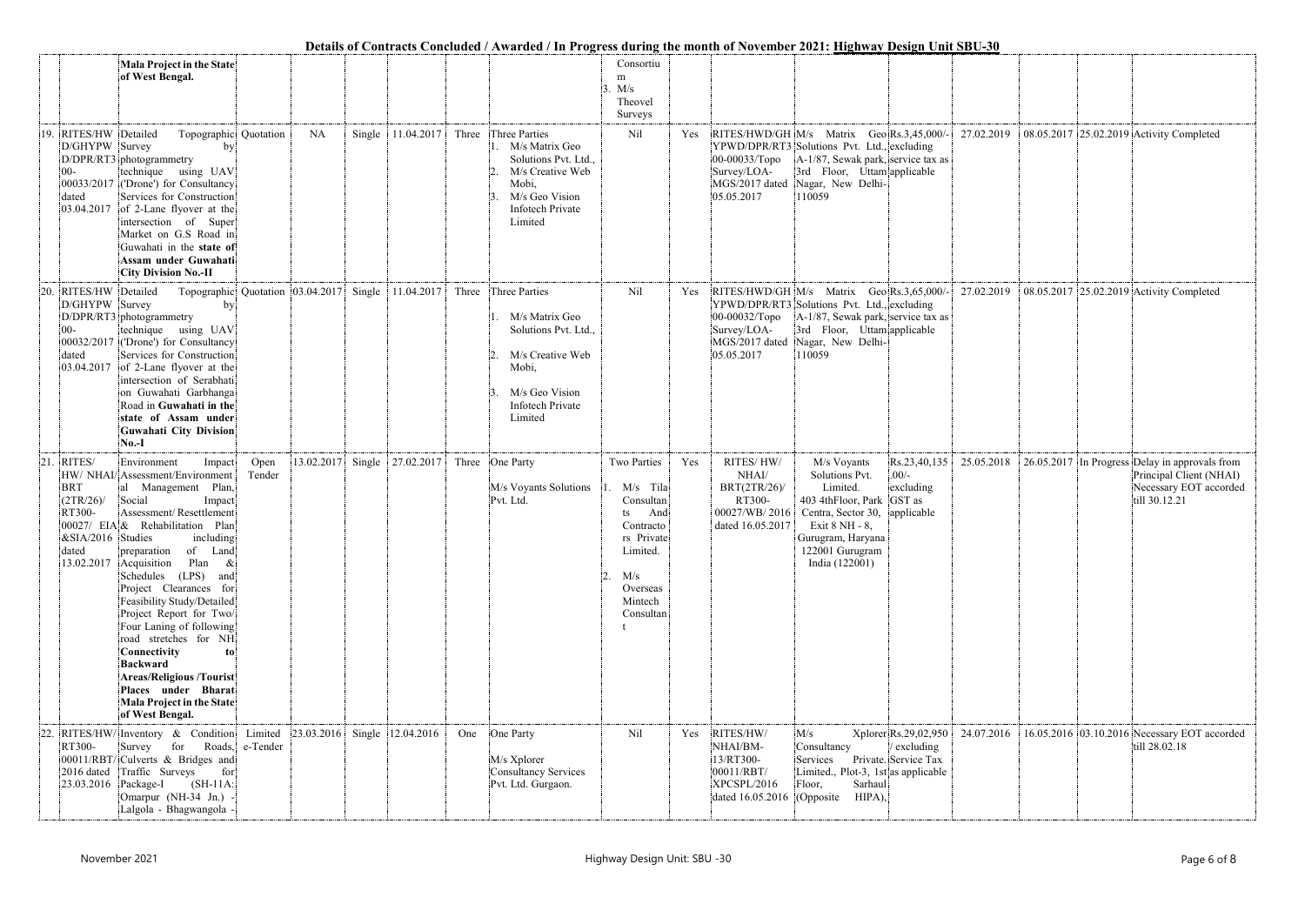|     |                                                                              |                                                                                                                                                                                                                                                                                                                                                                                                                                                                                                                                                                        |                     |            |        |                                  |       | Details of Contracts Concluded / Awarded / In Progress during the month of November 2021: <u>Highway Design Unit SBU-30</u>                        |                                                                                                                                            |     |                                                                                     |                                                                                                                                                                                              |                                                             |            |  |                                                                                                                      |
|-----|------------------------------------------------------------------------------|------------------------------------------------------------------------------------------------------------------------------------------------------------------------------------------------------------------------------------------------------------------------------------------------------------------------------------------------------------------------------------------------------------------------------------------------------------------------------------------------------------------------------------------------------------------------|---------------------|------------|--------|----------------------------------|-------|----------------------------------------------------------------------------------------------------------------------------------------------------|--------------------------------------------------------------------------------------------------------------------------------------------|-----|-------------------------------------------------------------------------------------|----------------------------------------------------------------------------------------------------------------------------------------------------------------------------------------------|-------------------------------------------------------------|------------|--|----------------------------------------------------------------------------------------------------------------------|
|     |                                                                              | Mala Project in the State<br>of West Bengal.                                                                                                                                                                                                                                                                                                                                                                                                                                                                                                                           |                     |            |        |                                  |       |                                                                                                                                                    | Consortiu                                                                                                                                  |     |                                                                                     |                                                                                                                                                                                              |                                                             |            |  |                                                                                                                      |
|     |                                                                              |                                                                                                                                                                                                                                                                                                                                                                                                                                                                                                                                                                        |                     |            |        |                                  |       |                                                                                                                                                    | m<br>M/s<br>Theovel<br>Surveys                                                                                                             |     |                                                                                     |                                                                                                                                                                                              |                                                             |            |  |                                                                                                                      |
|     | 19. RITES/HW Detailed<br>D/GHYPW Survey<br>$00-$<br>dated<br>03.04.2017      | Topographic Quotation<br>D/DPR/RT3 photogrammetry<br>technique using UAV<br>00033/2017 ('Drone') for Consultancy<br>Services for Construction<br>of 2-Lane flyover at the<br>intersection of Super<br>Market on G.S Road in<br>Guwahati in the state of<br>Assam under Guwahati<br><b>City Division No.-II</b>                                                                                                                                                                                                                                                         |                     | <b>NA</b>  | Single | 11.04.2017                       | Three | Three Parties<br>1. M/s Matrix Geo<br>Solutions Pvt. Ltd.,<br>M/s Creative Web<br>Mobi,<br>M/s Geo Vision<br><b>Infotech Private</b><br>Limited    | Nil                                                                                                                                        | Yes | 00-00033/Topo<br>Survey/LOA-<br>MGS/2017 dated<br>05.05.2017                        | RITES/HWD/GH M/s Matrix Geo Rs.3,45,000/-<br>YPWD/DPR/RT3 Solutions Pvt. Ltd., excluding<br>A-1/87, Sewak park, service tax as<br>3rd Floor, Uttam applicable<br>Nagar, New Delhi-<br>110059 |                                                             | 27.02.2019 |  | 08.05.2017 25.02.2019 Activity Completed                                                                             |
|     | 20. RITES/HW<br>D/GHYPW Survey<br>$00-$<br>dated<br>03.04.2017               | Topographic Quotation 03.04.2017<br>Detailed<br>D/DPR/RT3 photogrammetry<br>technique using UAV<br>00032/2017 ('Drone') for Consultancy<br>Services for Construction<br>of 2-Lane flyover at the<br>intersection of Serabhati<br>on Guwahati Garbhanga<br>Road in Guwahati in the<br>state of Assam under<br><b>Guwahati City Division</b><br>$No.-I$                                                                                                                                                                                                                  |                     |            | Single | 11.04.2017                       |       | Three Three Parties<br>M/s Matrix Geo<br>Solutions Pvt. Ltd.,<br>M/s Creative Web<br>Mobi,<br>M/s Geo Vision<br><b>Infotech Private</b><br>Limited | Nil                                                                                                                                        | Yes | 00-00032/Торо<br>Survey/LOA-<br>MGS/2017 dated<br>05.05.2017                        | RITES/HWD/GH M/s Matrix Geo Rs.3,65,000/-<br>YPWD/DPR/RT3 Solutions Pvt. Ltd., excluding<br>A-1/87, Sewak park, service tax as<br>3rd Floor, Uttam applicable<br>Nagar, New Delhi-<br>110059 |                                                             | 27.02.2019 |  | 08.05.2017 25.02.2019 Activity Completed                                                                             |
| 21. | RITES/<br><b>BRT</b><br>$(2TR/26)$ /<br>RT300-<br>&SIA/2016 Studies<br>dated | Environment<br>Impact<br>HW/ NHAI/ Assessment/Environment<br>al Management Plan,<br>Social<br>Impact<br>Assessment/Resettlement<br>00027/ EIA & Rehabilitation Plan<br>including<br>of Land<br>preparation<br>$13.02.2017$ Acquisition<br>Plan<br>&<br>Schedules (LPS) and<br>Project Clearances for<br>Feasibility Study/Detailed<br>Project Report for Two/<br>Four Laning of following<br>road stretches for NH<br>Connectivity<br>to!<br>Backward<br><b>Areas/Religious /Tourist</b><br>Places under Bharat<br><b>Mala Project in the State</b><br>of West Bengal. | Open<br>Tender      | 13.02.2017 | Single | 27.02.2017                       |       | Three One Party<br>M/s Voyants Solutions<br>Pvt. Ltd.                                                                                              | Two Parties<br>M/s Tila<br>Consultan<br>And<br>ts<br>Contracto<br>rs Private<br>Limited.<br>M/s<br>12.<br>Overseas<br>Mintech<br>Consultan | Yes | RITES/HW/<br>NHAI/<br>BRT(2TR/26)<br>RT300-<br>00027/WB/2016<br>dated 16.05.2017    | M/s Voyants<br>Solutions Pvt.<br>Limited.<br>403 4thFloor, Park GST as<br>Centra, Sector 30, applicable<br>Exit 8 NH - 8,<br>Gurugram, Haryana<br>122001 Gurugram<br>India (122001)          | Rs.23,40,135<br>$.00/-$<br>excluding                        | 25.05.2018 |  | 26.05.2017 In Progress Delay in approvals from<br>Principal Client (NHAI)<br>Necessary EOT accorded<br>till 30.12.21 |
|     | RT300-<br>2016 dated<br>23.03.2016                                           | 22. RITES/HW/Inventory & Condition<br>for<br>Roads,<br>Survey<br>00011/RBT/ Culverts & Bridges and<br>Traffic Surveys<br>for<br>$(SH-11A)$<br>Package-I<br>Omarpur (NH-34 Jn.) -<br>Lalgola - Bhagwangola -                                                                                                                                                                                                                                                                                                                                                            | Limited<br>e-Tender |            |        | $ 23.03.2016 $ Single 12.04.2016 | One   | One Party<br>M/s Xplorer<br>Consultancy Services<br>Pvt. Ltd. Gurgaon.                                                                             | Nil                                                                                                                                        | Yes | RITES/HW/<br>NHAI/BM-<br>13/RT300-<br>00011/RBT/<br>XPCSPL/2016<br>dated 16.05.2016 | M/s<br>Consultancy<br>Services<br>Limited., Plot-3, 1st as applicable<br>Sarhaul<br>Floor,<br>HIPA),<br>$(O$ pposite                                                                         | Xplorer Rs.29,02,950<br>/ excluding<br>Private. Service Tax | 24.07.2016 |  | 16.05.2016 03.10.2016 Necessary EOT accorded<br>till 28.02.18                                                        |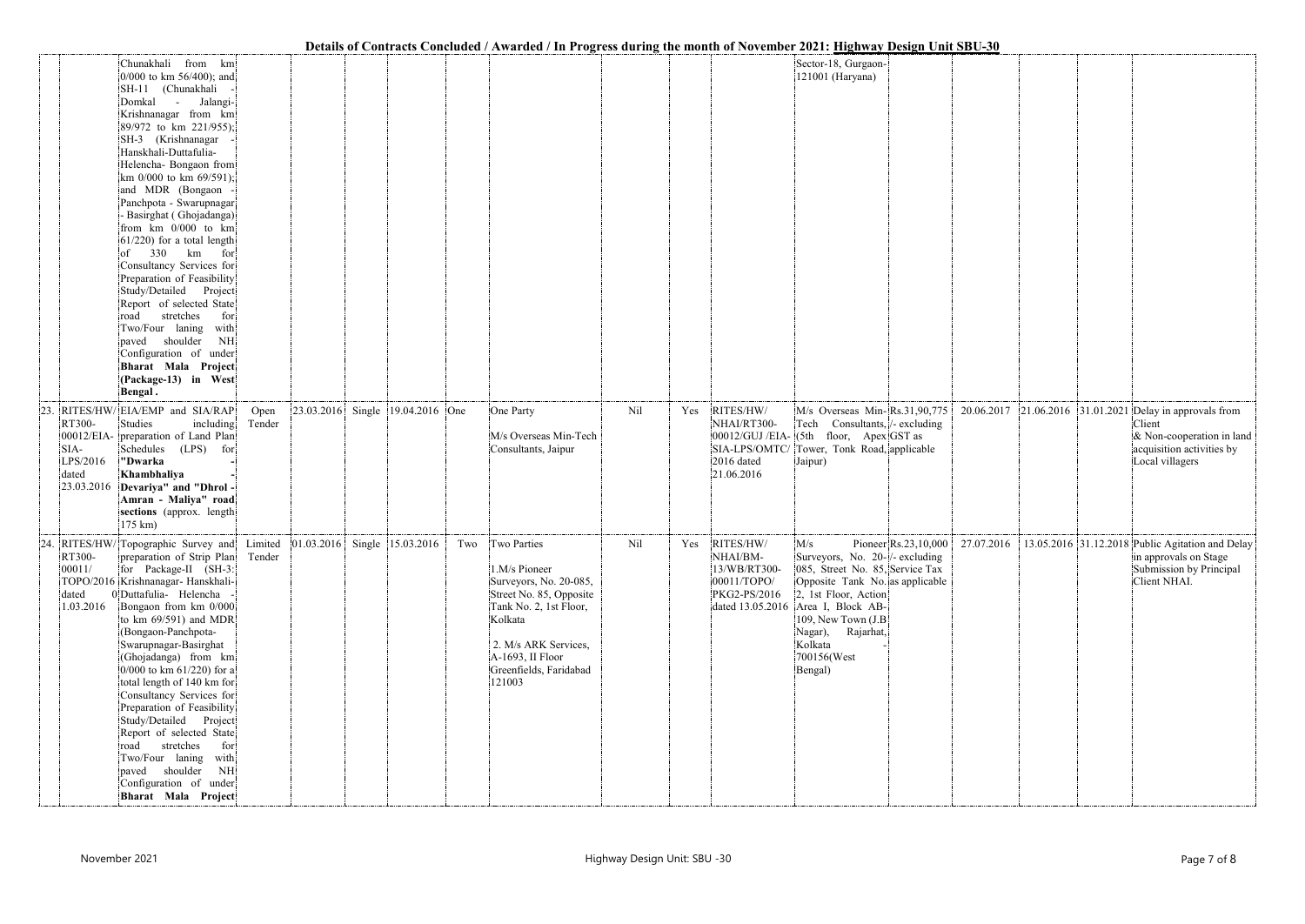|     |                                                                                                                                                                                                                                                                                                                                                                                                                                                                                                                                                                                                                                                                                                |                                                                                |                                                                                                                                                                                                                   |     | Details of Contracts Concluded / Awarded / In Frogress during the month of November 2021; Highway Design Unit SDU-J0                                                                                                                                                                                                                                                                  |  |                                                                                                                                                 |
|-----|------------------------------------------------------------------------------------------------------------------------------------------------------------------------------------------------------------------------------------------------------------------------------------------------------------------------------------------------------------------------------------------------------------------------------------------------------------------------------------------------------------------------------------------------------------------------------------------------------------------------------------------------------------------------------------------------|--------------------------------------------------------------------------------|-------------------------------------------------------------------------------------------------------------------------------------------------------------------------------------------------------------------|-----|---------------------------------------------------------------------------------------------------------------------------------------------------------------------------------------------------------------------------------------------------------------------------------------------------------------------------------------------------------------------------------------|--|-------------------------------------------------------------------------------------------------------------------------------------------------|
|     | Chunakhali from km<br>0/000 to km 56/400); and<br>SH-11 (Chunakhali<br>Domkal -<br>Jalangi-<br>Krishnanagar from km<br>89/972 to km 221/955);<br>SH-3 (Krishnanagar<br>Hanskhali-Duttafulia-<br>Helencha- Bongaon from<br>km $0/000$ to km $69/591$ ;<br>and MDR (Bongaon<br>Panchpota - Swarupnagar<br>- Basirghat (Ghojadanga)<br>from km 0/000 to km<br>$61/220$ ) for a total length<br>$of$ 330 km for<br>Consultancy Services for<br>Preparation of Feasibility<br>Study/Detailed Project<br>Report of selected State<br>stretches<br>for<br>road<br>Two/Four laning with<br>shoulder<br>NH<br>paved<br>Configuration of under<br>Bharat Mala Project<br>(Package-13) in West<br>Bengal. |                                                                                |                                                                                                                                                                                                                   |     | Sector-18, Gurgaon-<br>121001 (Haryana)                                                                                                                                                                                                                                                                                                                                               |  |                                                                                                                                                 |
| 23. | RITES/HW/EIA/EMP and SIA/RAP<br>RT300-<br>Studies<br>including<br>00012/EIA- preparation of Land Plan<br>Schedules (LPS)<br>for<br>SIA-<br>LPS/2016<br>"Dwarka<br>Khambhaliya<br>dated<br>23.03.2016 Devariya" and "Dhrol-<br>Amran - Maliya" road<br>sections (approx. length)<br>175 km)                                                                                                                                                                                                                                                                                                                                                                                                     | $\vert 23.03.2016 \vert$ Single $\vert 19.04.2016 \vert$ One<br>Open<br>Tender | Nil<br>One Party<br>M/s Overseas Min-Tech<br>Consultants, Jaipur                                                                                                                                                  | Yes | RITES/HW/<br>M/s Overseas Min-Rs.31,90,775<br>NHAI/RT300-<br>Tech Consultants, /- excluding<br>$ 00012/GUJ/EIA- 5th$ floor, Apex GST as<br>SIA-LPS/OMTC/<br>Tower, Tonk Road, applicable<br>2016 dated<br>Jaipur)<br>21.06.2016                                                                                                                                                       |  | 20.06.2017 21.06.2016 31.01.2021 Delay in approvals from<br>Client<br>& Non-cooperation in land<br>acquisition activities by<br>Local villagers |
| 24  | RITES/HW/Topographic Survey and Limited 01.03.2016 Single 15.03.2016<br>RT300-<br>preparation of Strip Plan<br>00011/<br>for Package-II (SH-3:<br>TOPO/2016 Krishnanagar- Hanskhali-<br>0 Duttafulia- Helencha<br>dated<br>1.03.2016 Bongaon from km 0/000<br>to km 69/591) and MDR<br>(Bongaon-Panchpota-<br>Swarupnagar-Basirghat<br>(Ghojadanga) from km<br>$0/000$ to km 61/220) for a<br>total length of 140 km for<br>Consultancy Services for<br>Preparation of Feasibility<br>Study/Detailed Project<br>Report of selected State<br>stretches<br>road<br>for<br>Two/Four laning with<br>paved shoulder NH<br>Configuration of under<br>Bharat Mala Project                             | Tender                                                                         | Two Two Parties<br>Nil<br>1.M/s Pioneer<br>Surveyors, No. 20-085,<br>Street No. 85, Opposite<br>Tank No. 2, 1st Floor,<br>Kolkata<br>2. M/s ARK Services,<br>A-1693, II Floor<br>Greenfields, Faridabad<br>121003 | Yes | RITES/HW/<br>Pioneer $\left  \text{Rs.}23,10,000 \right $<br>M/s<br>NHAI/BM-<br>Surveyors, No. 20-/- excluding<br>13/WB/RT300-<br>085, Street No. 85, Service Tax<br>00011/TOPO/<br>Opposite Tank No. as applicable<br>PKG2-PS/2016<br>2, 1st Floor, Action<br>Area I, Block AB-<br>dated 13.05.2016<br>109, New Town (J.B)<br>Nagar), Rajarhat,<br>Kolkata<br>700156(West<br>Bengal) |  | 27.07.2016 13.05.2016 31.12.2018 Public Agitation and Delay<br>in approvals on Stage<br>Submission by Principal<br>Client NHAI.                 |